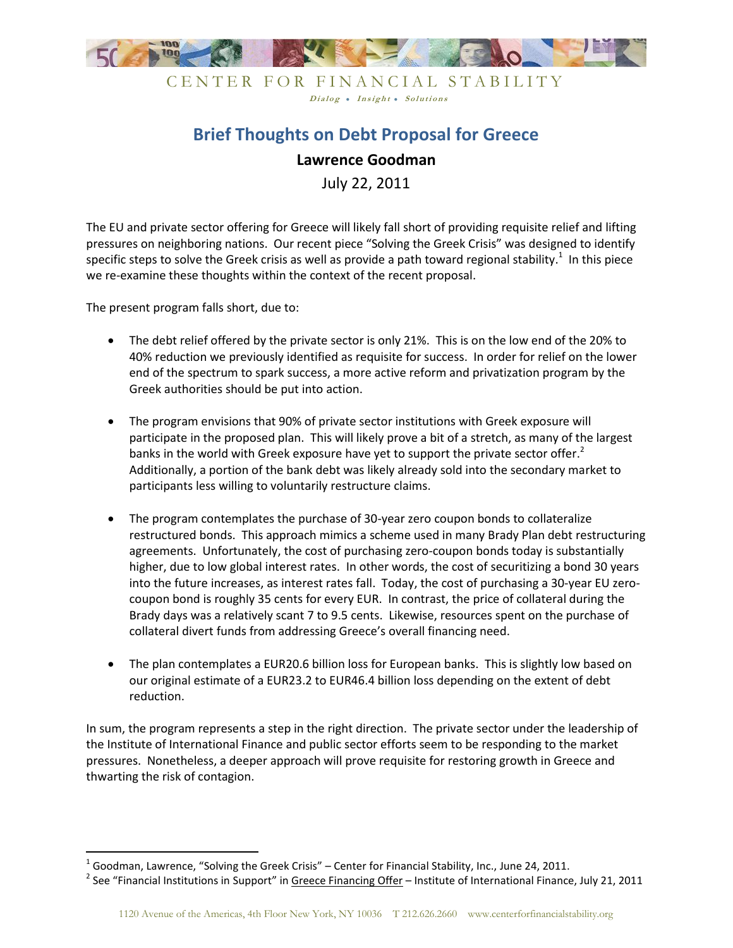

CENTER FOR FINANCIAL STABILITY Dialog . Insight . Solutions

## **Brief Thoughts on Debt Proposal for Greece**

## **Lawrence Goodman**

July 22, 2011

The EU and private sector offering for Greece will likely fall short of providing requisite relief and lifting pressures on neighboring nations. Our recent piece "Solving the Greek Crisis" was designed to identify specific steps to solve the Greek crisis as well as provide a path toward regional stability.<sup>1</sup> In this piece we re-examine these thoughts within the context of the recent proposal.

The present program falls short, due to:

 $\overline{a}$ 

- The debt relief offered by the private sector is only 21%. This is on the low end of the 20% to 40% reduction we previously identified as requisite for success. In order for relief on the lower end of the spectrum to spark success, a more active reform and privatization program by the Greek authorities should be put into action.
- The program envisions that 90% of private sector institutions with Greek exposure will participate in the proposed plan. This will likely prove a bit of a stretch, as many of the largest banks in the world with Greek exposure have yet to support the private sector offer.<sup>2</sup> Additionally, a portion of the bank debt was likely already sold into the secondary market to participants less willing to voluntarily restructure claims.
- The program contemplates the purchase of 30-year zero coupon bonds to collateralize restructured bonds. This approach mimics a scheme used in many Brady Plan debt restructuring agreements. Unfortunately, the cost of purchasing zero-coupon bonds today is substantially higher, due to low global interest rates. In other words, the cost of securitizing a bond 30 years into the future increases, as interest rates fall. Today, the cost of purchasing a 30-year EU zerocoupon bond is roughly 35 cents for every EUR. In contrast, the price of collateral during the Brady days was a relatively scant 7 to 9.5 cents. Likewise, resources spent on the purchase of collateral divert funds from addressing Greece's overall financing need.
- The plan contemplates a EUR20.6 billion loss for European banks. This is slightly low based on our original estimate of a EUR23.2 to EUR46.4 billion loss depending on the extent of debt reduction.

In sum, the program represents a step in the right direction. The private sector under the leadership of the Institute of International Finance and public sector efforts seem to be responding to the market pressures. Nonetheless, a deeper approach will prove requisite for restoring growth in Greece and thwarting the risk of contagion.

 $^1$  Goodman, Lawrence, "Solving the Greek Crisis" – Center for Financial Stability, Inc., June 24, 2011.

<sup>&</sup>lt;sup>2</sup> See "Financial Institutions in Support" in <u>Greece Financing Offer</u> – Institute of International Finance, July 21, 2011